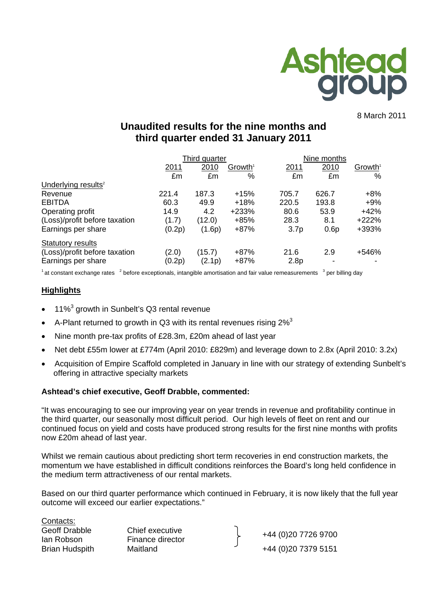

8 March 2011

# **Unaudited results for the nine months and third quarter ended 31 January 2011**

|                                 |        | Third quarter |                     |                  | Nine months |                     |  |
|---------------------------------|--------|---------------|---------------------|------------------|-------------|---------------------|--|
|                                 | 2011   | 2010          | Growth <sup>1</sup> | 2011             | 2010        | Growth <sup>1</sup> |  |
|                                 | £m     | £m            | %                   | £m               | £m          | %                   |  |
| Underlying results <sup>2</sup> |        |               |                     |                  |             |                     |  |
| Revenue                         | 221.4  | 187.3         | $+15%$              | 705.7            | 626.7       | $+8%$               |  |
| <b>EBITDA</b>                   | 60.3   | 49.9          | $+18%$              | 220.5            | 193.8       | $+9\%$              |  |
| Operating profit                | 14.9   | 4.2           | +233%               | 80.6             | 53.9        | $+42%$              |  |
| (Loss)/profit before taxation   | (1.7)  | (12.0)        | $+85%$              | 28.3             | 8.1         | +222%               |  |
| Earnings per share              | (0.2p) | (1.6p)        | $+87%$              | 3.7 <sub>p</sub> | 0.6p        | +393%               |  |
| <b>Statutory results</b>        |        |               |                     |                  |             |                     |  |
| (Loss)/profit before taxation   | (2.0)  | (15.7)        | +87%                | 21.6             | 2.9         | +546%               |  |
| Earnings per share              | (0.2p) | (2.1p)        | $+87%$              | 2.8 <sub>p</sub> |             |                     |  |

 $1$  at constant exchange rates  $2$  before exceptionals, intangible amortisation and fair value remeasurements  $3$  per billing day

#### **Highlights**

- $\bullet$  11%<sup>3</sup> growth in Sunbelt's Q3 rental revenue
- A-Plant returned to growth in Q3 with its rental revenues rising  $2\%$ <sup>3</sup>
- Nine month pre-tax profits of £28.3m, £20m ahead of last year
- Net debt £55m lower at £774m (April 2010: £829m) and leverage down to 2.8x (April 2010: 3.2x)
- Acquisition of Empire Scaffold completed in January in line with our strategy of extending Sunbelt's offering in attractive specialty markets

#### **Ashtead's chief executive, Geoff Drabble, commented:**

"It was encouraging to see our improving year on year trends in revenue and profitability continue in the third quarter, our seasonally most difficult period. Our high levels of fleet on rent and our continued focus on yield and costs have produced strong results for the first nine months with profits now £20m ahead of last year.

Whilst we remain cautious about predicting short term recoveries in end construction markets, the momentum we have established in difficult conditions reinforces the Board's long held confidence in the medium term attractiveness of our rental markets.

Based on our third quarter performance which continued in February, it is now likely that the full year outcome will exceed our earlier expectations."

Contacts: Geoff Drabble Chief executive

Ian Robson Finance director +44 (0)20 7726 9700 Brian Hudspith Maitland  $+44$  (0)20 7379 5151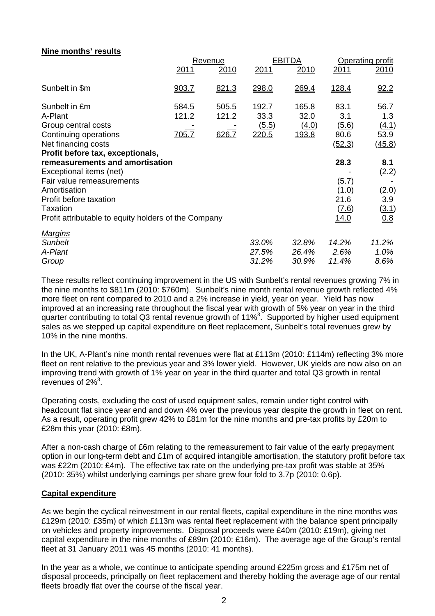# **Nine months' results**

|                                                                                                                                                                                                              | Revenue                        |                         | <b>EBITDA</b>                   |                                 | Operating profit                                       |                                              |
|--------------------------------------------------------------------------------------------------------------------------------------------------------------------------------------------------------------|--------------------------------|-------------------------|---------------------------------|---------------------------------|--------------------------------------------------------|----------------------------------------------|
|                                                                                                                                                                                                              | 2011                           | <u> 2010</u>            | 2011                            | <u>2010</u>                     | 2011                                                   | <u> 2010</u>                                 |
| Sunbelt in \$m                                                                                                                                                                                               | 903.7                          | 821.3                   | 298.0                           | 269.4                           | <u>128.4</u>                                           | 92.2                                         |
| Sunbelt in £m<br>A-Plant<br>Group central costs<br>Continuing operations<br>Net financing costs<br>Profit before tax, exceptionals,                                                                          | 584.5<br>121.2<br><u>705.7</u> | 505.5<br>121.2<br>626.7 | 192.7<br>33.3<br>(5.5)<br>220.5 | 165.8<br>32.0<br>(4.0)<br>193.8 | 83.1<br>3.1<br>(5.6)<br>80.6<br>(52.3)                 | 56.7<br>1.3<br>(4.1)<br>53.9<br>(45.8)       |
| remeasurements and amortisation<br>Exceptional items (net)<br>Fair value remeasurements<br>Amortisation<br>Profit before taxation<br><b>Taxation</b><br>Profit attributable to equity holders of the Company |                                |                         |                                 |                                 | 28.3<br>(5.7)<br>(1.0)<br>21.6<br><u>(7.6)</u><br>14.0 | 8.1<br>(2.2)<br>(2.0)<br>3.9<br>(3.1)<br>0.8 |
| <b>Margins</b><br><b>Sunbelt</b><br>A-Plant<br>Group                                                                                                                                                         |                                |                         | 33.0%<br>27.5%<br>31.2%         | 32.8%<br>26.4%<br>30.9%         | 14.2%<br>2.6%<br>11.4%                                 | 11.2%<br>1.0%<br>8.6%                        |

These results reflect continuing improvement in the US with Sunbelt's rental revenues growing 7% in the nine months to \$811m (2010: \$760m). Sunbelt's nine month rental revenue growth reflected 4% more fleet on rent compared to 2010 and a 2% increase in yield, year on year. Yield has now improved at an increasing rate throughout the fiscal year with growth of 5% year on year in the third quarter contributing to total Q3 rental revenue growth of 11%<sup>3</sup>. Supported by higher used equipment sales as we stepped up capital expenditure on fleet replacement, Sunbelt's total revenues grew by 10% in the nine months.

In the UK, A-Plant's nine month rental revenues were flat at £113m (2010: £114m) reflecting 3% more fleet on rent relative to the previous year and 3% lower yield. However, UK yields are now also on an improving trend with growth of 1% year on year in the third quarter and total Q3 growth in rental revenues of  $2\%$ <sup>3</sup>.

Operating costs, excluding the cost of used equipment sales, remain under tight control with headcount flat since year end and down 4% over the previous year despite the growth in fleet on rent. As a result, operating profit grew 42% to £81m for the nine months and pre-tax profits by £20m to £28m this year (2010: £8m).

After a non-cash charge of £6m relating to the remeasurement to fair value of the early prepayment option in our long-term debt and £1m of acquired intangible amortisation, the statutory profit before tax was £22m (2010: £4m). The effective tax rate on the underlying pre-tax profit was stable at 35% (2010: 35%) whilst underlying earnings per share grew four fold to 3.7p (2010: 0.6p).

### **Capital expenditure**

As we begin the cyclical reinvestment in our rental fleets, capital expenditure in the nine months was £129m (2010: £35m) of which £113m was rental fleet replacement with the balance spent principally on vehicles and property improvements. Disposal proceeds were £40m (2010: £19m), giving net capital expenditure in the nine months of £89m (2010: £16m). The average age of the Group's rental fleet at 31 January 2011 was 45 months (2010: 41 months).

In the year as a whole, we continue to anticipate spending around £225m gross and £175m net of disposal proceeds, principally on fleet replacement and thereby holding the average age of our rental fleets broadly flat over the course of the fiscal year.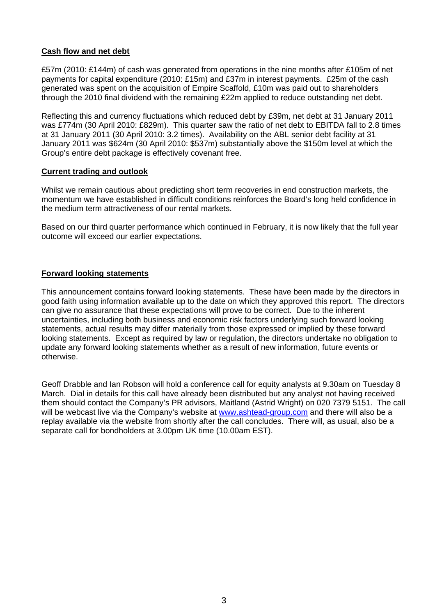# **Cash flow and net debt**

£57m (2010: £144m) of cash was generated from operations in the nine months after £105m of net payments for capital expenditure (2010: £15m) and £37m in interest payments. £25m of the cash generated was spent on the acquisition of Empire Scaffold, £10m was paid out to shareholders through the 2010 final dividend with the remaining £22m applied to reduce outstanding net debt.

Reflecting this and currency fluctuations which reduced debt by £39m, net debt at 31 January 2011 was £774m (30 April 2010: £829m). This quarter saw the ratio of net debt to EBITDA fall to 2.8 times at 31 January 2011 (30 April 2010: 3.2 times). Availability on the ABL senior debt facility at 31 January 2011 was \$624m (30 April 2010: \$537m) substantially above the \$150m level at which the Group's entire debt package is effectively covenant free.

### **Current trading and outlook**

Whilst we remain cautious about predicting short term recoveries in end construction markets, the momentum we have established in difficult conditions reinforces the Board's long held confidence in the medium term attractiveness of our rental markets.

Based on our third quarter performance which continued in February, it is now likely that the full year outcome will exceed our earlier expectations.

### **Forward looking statements**

This announcement contains forward looking statements. These have been made by the directors in good faith using information available up to the date on which they approved this report. The directors can give no assurance that these expectations will prove to be correct. Due to the inherent uncertainties, including both business and economic risk factors underlying such forward looking statements, actual results may differ materially from those expressed or implied by these forward looking statements. Except as required by law or regulation, the directors undertake no obligation to update any forward looking statements whether as a result of new information, future events or otherwise.

Geoff Drabble and Ian Robson will hold a conference call for equity analysts at 9.30am on Tuesday 8 March. Dial in details for this call have already been distributed but any analyst not having received them should contact the Company's PR advisors, Maitland (Astrid Wright) on 020 7379 5151. The call will be webcast live via the Company's website at [www.ashtead-group.com](http://www.ashtead-group.com/) and there will also be a replay available via the website from shortly after the call concludes. There will, as usual, also be a separate call for bondholders at 3.00pm UK time (10.00am EST).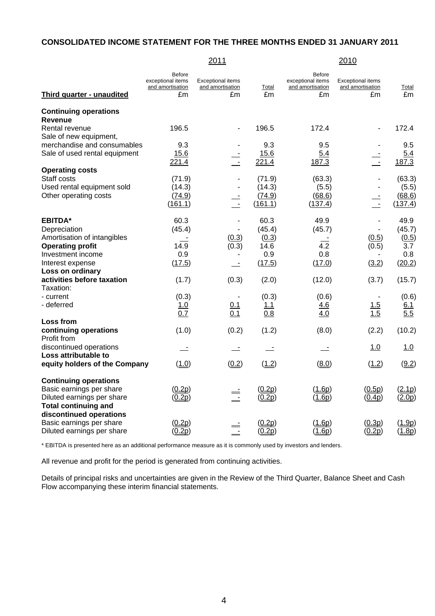# **CONSOLIDATED INCOME STATEMENT FOR THE THREE MONTHS ENDED 31 JANUARY 2011**

|                                      |                                                              | 2011                                               |               |                                                              | 2010                                               |              |
|--------------------------------------|--------------------------------------------------------------|----------------------------------------------------|---------------|--------------------------------------------------------------|----------------------------------------------------|--------------|
| Third quarter - unaudited            | <b>Before</b><br>exceptional items<br>and amortisation<br>£m | <b>Exceptional items</b><br>and amortisation<br>£m | Total<br>£m   | <b>Before</b><br>exceptional items<br>and amortisation<br>£m | <b>Exceptional items</b><br>and amortisation<br>£m | Total<br>£m  |
| <b>Continuing operations</b>         |                                                              |                                                    |               |                                                              |                                                    |              |
| <b>Revenue</b>                       |                                                              |                                                    |               |                                                              |                                                    |              |
| Rental revenue                       | 196.5                                                        |                                                    | 196.5         | 172.4                                                        |                                                    | 172.4        |
| Sale of new equipment,               |                                                              |                                                    |               |                                                              |                                                    |              |
| merchandise and consumables          | 9.3                                                          |                                                    | 9.3           | 9.5                                                          |                                                    | 9.5          |
| Sale of used rental equipment        | 15.6<br>221.4                                                | $\frac{1}{2}$                                      | 15.6<br>221.4 | 5.4<br>187.3                                                 | $\frac{1}{2}$                                      | 5.4<br>187.3 |
| <b>Operating costs</b>               |                                                              |                                                    |               |                                                              |                                                    |              |
| Staff costs                          | (71.9)                                                       |                                                    | (71.9)        | (63.3)                                                       |                                                    | (63.3)       |
| Used rental equipment sold           | (14.3)                                                       | $\blacksquare$                                     | (14.3)        | (5.5)                                                        | $\overline{\phantom{a}}$                           | (5.5)        |
| Other operating costs                | (74.9)                                                       |                                                    | (74.9)        | (68.6)                                                       |                                                    | (68.6)       |
|                                      | (161.1)                                                      | $\frac{1}{2}$                                      | (161.1)       | (137.4)                                                      | $\overline{a}$                                     | (137.4)      |
| <b>EBITDA*</b>                       | 60.3                                                         | $\blacksquare$                                     | 60.3          | 49.9                                                         | $\blacksquare$                                     | 49.9         |
| Depreciation                         | (45.4)                                                       |                                                    | (45.4)        | (45.7)                                                       |                                                    | (45.7)       |
| Amortisation of intangibles          |                                                              | (0.3)                                              | (0.3)         |                                                              | (0.5)                                              | (0.5)        |
| <b>Operating profit</b>              | 14.9                                                         | (0.3)                                              | 14.6          | 4.2                                                          | (0.5)                                              | 3.7          |
| Investment income                    | 0.9                                                          |                                                    | 0.9           | 0.8                                                          |                                                    | 0.8          |
| Interest expense                     | (17.5)                                                       | $\overline{\phantom{a}}$                           | (17.5)        | (17.0)                                                       | (3.2)                                              | (20.2)       |
| Loss on ordinary                     |                                                              |                                                    |               |                                                              |                                                    |              |
| activities before taxation           | (1.7)                                                        | (0.3)                                              | (2.0)         | (12.0)                                                       | (3.7)                                              | (15.7)       |
| Taxation:                            |                                                              |                                                    |               |                                                              |                                                    |              |
| - current<br>- deferred              | (0.3)                                                        | 0.1                                                | (0.3)<br>1.1  | (0.6)                                                        | 1.5                                                | (0.6)        |
|                                      | 1.0<br>0.7                                                   | 0.1                                                | 0.8           | <u>4.6</u><br>4.0                                            | 1.5                                                | 6.1<br>5.5   |
| Loss from                            |                                                              |                                                    |               |                                                              |                                                    |              |
| continuing operations<br>Profit from | (1.0)                                                        | (0.2)                                              | (1.2)         | (8.0)                                                        | (2.2)                                              | (10.2)       |
| discontinued operations              | $\equiv$                                                     | $\equiv$                                           |               |                                                              | <u>1.0</u>                                         | 1.0          |
| Loss attributable to                 |                                                              |                                                    |               |                                                              |                                                    |              |
| equity holders of the Company        | (1.0)                                                        | (0.2)                                              | (1.2)         | (8.0)                                                        | (1.2)                                              | (9.2)        |
| <b>Continuing operations</b>         |                                                              |                                                    |               |                                                              |                                                    |              |
| Basic earnings per share             | (0.2p)                                                       |                                                    | (0.2p)        | (1.6p)                                                       | (0.5p)                                             | (2.1p)       |
| Diluted earnings per share           | (0.2p)                                                       | $\equiv$                                           | (0.2p)        | (1.6p)                                                       | (0.4p)                                             | (2.0p)       |
| <b>Total continuing and</b>          |                                                              |                                                    |               |                                                              |                                                    |              |
| discontinued operations              |                                                              |                                                    |               |                                                              |                                                    |              |
| Basic earnings per share             | (0.2p)                                                       |                                                    | (0.2p)        | (1.6p)                                                       | (0.3p)                                             | (1.9p)       |
| Diluted earnings per share           | (0.2p)                                                       | $\equiv$                                           | (0.2p)        | (1.6p)                                                       | (0.2p)                                             | (1.8p)       |

\* EBITDA is presented here as an additional performance measure as it is commonly used by investors and lenders.

All revenue and profit for the period is generated from continuing activities.

Details of principal risks and uncertainties are given in the Review of the Third Quarter, Balance Sheet and Cash Flow accompanying these interim financial statements.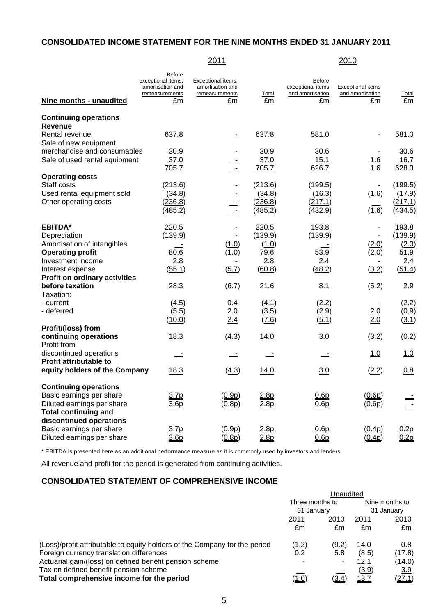# **CONSOLIDATED INCOME STATEMENT FOR THE NINE MONTHS ENDED 31 JANUARY 2011**

# 2011 2010

| Nine months - unaudited                        | <b>Before</b><br>exceptional items,<br>amortisation and<br>remeasurements<br>£m | Exceptional items,<br>amortisation and<br>remeasurements<br>£m | Total<br>£m        | <b>Before</b><br>exceptional items<br>and amortisation<br>£m | <b>Exceptional items</b><br>and amortisation<br>£m | Total<br>£m        |
|------------------------------------------------|---------------------------------------------------------------------------------|----------------------------------------------------------------|--------------------|--------------------------------------------------------------|----------------------------------------------------|--------------------|
| <b>Continuing operations</b><br><b>Revenue</b> |                                                                                 |                                                                |                    |                                                              |                                                    |                    |
| Rental revenue<br>Sale of new equipment,       | 637.8                                                                           |                                                                | 637.8              | 581.0                                                        |                                                    | 581.0              |
| merchandise and consumables                    | 30.9                                                                            |                                                                | 30.9               | 30.6                                                         | $\blacksquare$                                     | 30.6               |
| Sale of used rental equipment                  | 37.0<br>705.7                                                                   | $\frac{1}{1}$                                                  | 37.0<br>705.7      | 15.1<br>626.7                                                | 1.6<br>$\overline{1.6}$                            | 16.7<br>628.3      |
| <b>Operating costs</b>                         |                                                                                 |                                                                |                    |                                                              |                                                    |                    |
| Staff costs                                    | (213.6)                                                                         |                                                                | (213.6)            | (199.5)                                                      |                                                    | (199.5)            |
| Used rental equipment sold                     | (34.8)                                                                          |                                                                | (34.8)             | (16.3)                                                       | (1.6)                                              | (17.9)             |
| Other operating costs                          | (236.8)<br>(485.2)                                                              | $\sim$                                                         | (236.8)<br>(485.2) | (217.1)<br>(432.9)                                           | (1.6)                                              | (217.1)<br>(434.5) |
| <b>EBITDA*</b>                                 | 220.5                                                                           |                                                                | 220.5              | 193.8                                                        | $\blacksquare$                                     | 193.8              |
| Depreciation                                   | (139.9)                                                                         |                                                                | (139.9)            | (139.9)                                                      | ÷,                                                 | (139.9)            |
| Amortisation of intangibles                    |                                                                                 | (1.0)                                                          | (1.0)              |                                                              | (2.0)                                              | (2.0)              |
| <b>Operating profit</b>                        | 80.6                                                                            | (1.0)                                                          | 79.6               | 53.9                                                         | (2.0)                                              | 51.9               |
| Investment income                              | 2.8                                                                             |                                                                | 2.8                | 2.4                                                          |                                                    | 2.4                |
| Interest expense                               | (55.1)                                                                          | (5.7)                                                          | (60.8)             | (48.2)                                                       | (3.2)                                              | (51.4)             |
| <b>Profit on ordinary activities</b>           |                                                                                 |                                                                |                    |                                                              |                                                    |                    |
| before taxation                                | 28.3                                                                            | (6.7)                                                          | 21.6               | 8.1                                                          | (5.2)                                              | 2.9                |
| Taxation:                                      |                                                                                 | 0.4                                                            |                    |                                                              |                                                    |                    |
| - current<br>- deferred                        | (4.5)                                                                           |                                                                | (4.1)              | (2.2)                                                        |                                                    | (2.2)              |
|                                                | (5.5)<br>(10.0)                                                                 | 2.0<br>2.4                                                     | (3.5)<br>(7.6)     | (2.9)<br>(5.1)                                               | 2.0<br>2.0                                         | (0.9)<br>(3.1)     |
| Profit/(loss) from                             |                                                                                 |                                                                |                    |                                                              |                                                    |                    |
| continuing operations                          | 18.3                                                                            | (4.3)                                                          | 14.0               | 3.0                                                          | (3.2)                                              | (0.2)              |
| Profit from                                    |                                                                                 |                                                                |                    |                                                              |                                                    |                    |
| discontinued operations                        | $\equiv$                                                                        |                                                                |                    |                                                              | 1.0                                                | 1.0                |
| Profit attributable to                         |                                                                                 |                                                                |                    |                                                              |                                                    |                    |
| equity holders of the Company                  | 18.3                                                                            | (4.3)                                                          | 14.0               | 3.0                                                          | (2.2)                                              | 0.8                |
| <b>Continuing operations</b>                   |                                                                                 |                                                                |                    |                                                              |                                                    |                    |
| Basic earnings per share                       | 3.7 <sub>p</sub>                                                                | (0.9p)                                                         | 2.8p               | 0.6p                                                         | (0.6p)                                             | $\equiv$           |
| Diluted earnings per share                     | 3.6 <sub>p</sub>                                                                | (0.8p)                                                         | 2.8p               | 0.6p                                                         | (0.6p)                                             | $\equiv$           |
| <b>Total continuing and</b>                    |                                                                                 |                                                                |                    |                                                              |                                                    |                    |
| discontinued operations                        |                                                                                 |                                                                |                    |                                                              |                                                    |                    |
| Basic earnings per share                       | 3.7p                                                                            | (0.9p)                                                         | 2.8p               | 0.6p                                                         | (0.4p)                                             | 0.2p               |
| Diluted earnings per share                     | 3.6 <sub>p</sub>                                                                | (0.8p)                                                         | 2.8p               | 0.6p                                                         | (0.4p)                                             | 0.2p               |

\* EBITDA is presented here as an additional performance measure as it is commonly used by investors and lenders.

All revenue and profit for the period is generated from continuing activities.

# **CONSOLIDATED STATEMENT OF COMPREHENSIVE INCOME**

|                                                                            | Unaudited       |              |              |                |  |
|----------------------------------------------------------------------------|-----------------|--------------|--------------|----------------|--|
|                                                                            | Three months to |              |              | Nine months to |  |
|                                                                            | 31 January      |              |              | 31 January     |  |
|                                                                            | 2011            | 2010         | 2011         | 2010           |  |
|                                                                            | £m              | £m           | £m           | £m             |  |
| (Loss)/profit attributable to equity holders of the Company for the period | (1.2)           | (9.2)        | 14.0         | 0.8            |  |
| Foreign currency translation differences                                   | 0.2             | 5.8          | (8.5)        | (17.8)         |  |
| Actuarial gain/(loss) on defined benefit pension scheme                    |                 |              | 12.1         | (14.0)         |  |
| Tax on defined benefit pension scheme                                      |                 |              | (3.9)        | 3.9            |  |
| Total comprehensive income for the period                                  | (1.0)           | <u>(3.4)</u> | <u> 13.7</u> | (27.1)         |  |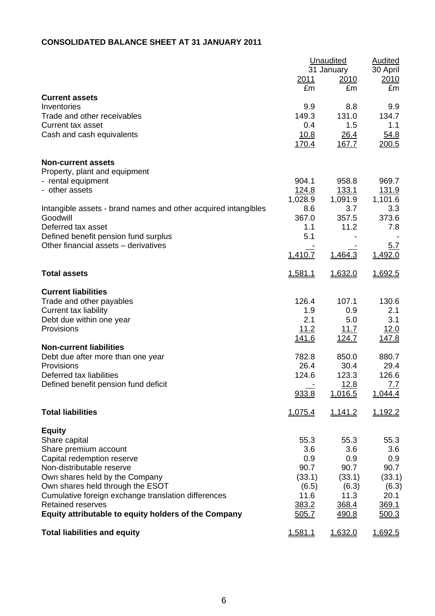# **CONSOLIDATED BALANCE SHEET AT 31 JANUARY 2011**

|                                                                                                                                                                                                                                                                                                                                     | 2011<br>£m                                                                     | Unaudited<br>31 January<br>2010<br>£m                                                    | <b>Audited</b><br>30 April<br>2010<br>£m                                                |
|-------------------------------------------------------------------------------------------------------------------------------------------------------------------------------------------------------------------------------------------------------------------------------------------------------------------------------------|--------------------------------------------------------------------------------|------------------------------------------------------------------------------------------|-----------------------------------------------------------------------------------------|
| <b>Current assets</b><br>Inventories<br>Trade and other receivables<br><b>Current tax asset</b><br>Cash and cash equivalents                                                                                                                                                                                                        | 9.9<br>149.3<br>0.4<br>10.8<br><u>170.4</u>                                    | 8.8<br>131.0<br>1.5<br>26.4<br>167.7                                                     | 9.9<br>134.7<br>1.1<br>54.8<br>200.5                                                    |
| <b>Non-current assets</b><br>Property, plant and equipment<br>- rental equipment<br>- other assets                                                                                                                                                                                                                                  | 904.1<br>124.8<br>1,028.9<br>8.6                                               | 958.8<br><u>133.1</u><br>1,091.9<br>3.7                                                  | 969.7<br><u>131.9</u><br>1,101.6<br>3.3                                                 |
| Intangible assets - brand names and other acquired intangibles<br>Goodwill<br>Deferred tax asset<br>Defined benefit pension fund surplus<br>Other financial assets - derivatives                                                                                                                                                    | 367.0<br>1.1<br>5.1<br>1,410.7                                                 | 357.5<br>11.2<br>1,464.3                                                                 | 373.6<br>7.8<br><u>5.7</u><br>1,492.0                                                   |
| <b>Total assets</b>                                                                                                                                                                                                                                                                                                                 | 1,581.1                                                                        | 1,632.0                                                                                  | 1,692.5                                                                                 |
| <b>Current liabilities</b><br>Trade and other payables<br>Current tax liability<br>Debt due within one year<br>Provisions<br><b>Non-current liabilities</b><br>Debt due after more than one year<br>Provisions<br>Deferred tax liabilities<br>Defined benefit pension fund deficit                                                  | 126.4<br>1.9<br>2.1<br>11.2<br><u>141.6</u><br>782.8<br>26.4<br>124.6<br>933.8 | 107.1<br>0.9<br>5.0<br>11.7<br><u>124.7</u><br>850.0<br>30.4<br>123.3<br>12.8<br>1,016.5 | 130.6<br>2.1<br>3.1<br>12.0<br><u>147.8</u><br>880.7<br>29.4<br>126.6<br>7.7<br>1,044.4 |
| <b>Total liabilities</b>                                                                                                                                                                                                                                                                                                            | 1,075.4                                                                        | 1,141.2                                                                                  | 1,192.2                                                                                 |
| <b>Equity</b><br>Share capital<br>Share premium account<br>Capital redemption reserve<br>Non-distributable reserve<br>Own shares held by the Company<br>Own shares held through the ESOT<br>Cumulative foreign exchange translation differences<br><b>Retained reserves</b><br>Equity attributable to equity holders of the Company | 55.3<br>3.6<br>0.9<br>90.7<br>(33.1)<br>(6.5)<br>11.6<br>383.2<br>505.7        | 55.3<br>3.6<br>0.9<br>90.7<br>(33.1)<br>(6.3)<br>11.3<br>368.4<br>490.8                  | 55.3<br>3.6<br>0.9<br>90.7<br>(33.1)<br>(6.3)<br>20.1<br>369.1<br>500.3                 |
| <b>Total liabilities and equity</b>                                                                                                                                                                                                                                                                                                 | 1,581.1                                                                        | 1,632.0                                                                                  | 1,692.5                                                                                 |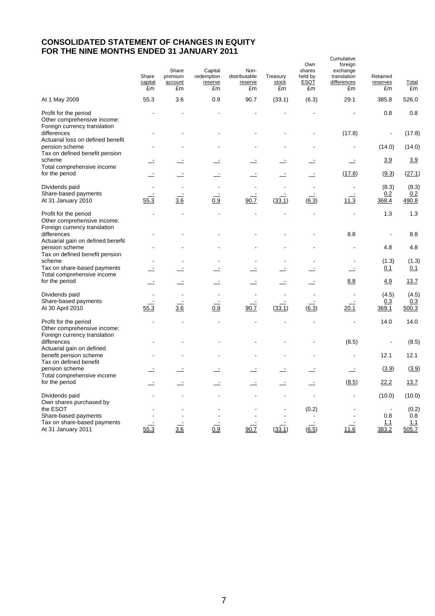# **CONSOLIDATED STATEMENT OF CHANGES IN EQUITY FOR THE NINE MONTHS ENDED 31 JANUARY 2011**

|                                                                                                                  | Share<br>capital | Share<br>premium<br>account | Capital<br>redemption<br>reserve | Non-<br>distributable<br>reserve | Treasury<br>stock | Own<br>shares<br>held by<br><b>ESOT</b> | Cumulative<br>foreign<br>exchange<br>translation<br>differences | Retained<br>reserves  | Total                        |
|------------------------------------------------------------------------------------------------------------------|------------------|-----------------------------|----------------------------------|----------------------------------|-------------------|-----------------------------------------|-----------------------------------------------------------------|-----------------------|------------------------------|
| At 1 May 2009                                                                                                    | £m<br>55.3       | £m<br>3.6                   | £m<br>0.9                        | £m<br>90.7                       | £m<br>(33.1)      | £m<br>(6.3)                             | £m<br>29.1                                                      | £m<br>385.8           | £m<br>526.0                  |
| Profit for the period<br>Other comprehensive income:<br>Foreign currency translation                             |                  |                             |                                  |                                  |                   |                                         |                                                                 | 0.8                   | 0.8                          |
| differences<br>Actuarial loss on defined benefit                                                                 |                  |                             |                                  |                                  |                   |                                         | (17.8)                                                          | $\overline{a}$        | (17.8)                       |
| pension scheme<br>Tax on defined benefit pension                                                                 |                  |                             |                                  |                                  |                   |                                         |                                                                 | (14.0)                | (14.0)                       |
| scheme<br>Total comprehensive income                                                                             |                  |                             |                                  |                                  |                   |                                         |                                                                 | 3.9                   | 3.9                          |
| for the period                                                                                                   |                  |                             |                                  |                                  |                   |                                         | (17.8)                                                          | (9.3)                 | (27.1)                       |
| Dividends paid<br>Share-based payments<br>At 31 January 2010                                                     | 55.3             | $\frac{3.6}{3.6}$           | 0.9                              | 90.7                             | (33.1)            | (6.3)                                   | 11.3                                                            | (8.3)<br>0.2<br>368.4 | (8.3)<br>0.2<br>490.8        |
| Profit for the period<br>Other comprehensive income:                                                             |                  |                             |                                  |                                  |                   |                                         |                                                                 | 1.3                   | 1.3                          |
| Foreign currency translation<br>differences                                                                      |                  |                             |                                  |                                  |                   |                                         | 8.8                                                             |                       | 8.8                          |
| Actuarial gain on defined benefit<br>pension scheme<br>Tax on defined benefit pension                            |                  |                             |                                  |                                  |                   |                                         |                                                                 | 4.8                   | 4.8                          |
| scheme                                                                                                           |                  |                             |                                  |                                  |                   |                                         |                                                                 | (1.3)                 | (1.3)                        |
| Tax on share-based payments<br>Total comprehensive income                                                        |                  |                             |                                  |                                  |                   |                                         |                                                                 | 0.1                   | 0.1                          |
| for the period                                                                                                   |                  |                             |                                  |                                  |                   |                                         | 8.8                                                             | 4.9                   | 13.7                         |
| Dividends paid<br>Share-based payments<br>At 30 April 2010                                                       | 55.3             | 3.6                         | $\overline{0.9}$                 | 90.7                             | (33.1)            | $(\overline{6.3})$                      | 20.1                                                            | (4.5)<br>0.3<br>369.1 | (4.5)<br>0.3<br>500.3        |
| Profit for the period<br>Other comprehensive income:                                                             |                  |                             |                                  |                                  |                   |                                         |                                                                 | 14.0                  | 14.0                         |
| Foreign currency translation<br>differences<br>Actuarial gain on defined                                         |                  |                             |                                  |                                  |                   |                                         | (8.5)                                                           |                       | (8.5)                        |
| benefit pension scheme<br>Tax on defined benefit                                                                 |                  |                             |                                  |                                  |                   |                                         |                                                                 | 12.1                  | 12.1                         |
| pension scheme<br>Total comprehensive income                                                                     |                  |                             |                                  |                                  |                   |                                         | $\equiv$                                                        | (3.9)                 | (3.9)                        |
| for the period                                                                                                   |                  |                             |                                  |                                  |                   |                                         | (8.5)                                                           | 22.2                  | 13.7                         |
| Dividends paid                                                                                                   |                  |                             |                                  |                                  |                   |                                         |                                                                 | (10.0)                | (10.0)                       |
| Own shares purchased by<br>the ESOT<br>Share-based payments<br>Tax on share-based payments<br>At 31 January 2011 | 55.3             | 3.6                         | 0.9                              | 90.7                             | (33.1)            | (0.2)<br>(6.5)                          | 11.6                                                            | 0.8<br>1.1<br>383.2   | (0.2)<br>0.8<br>1.1<br>505.7 |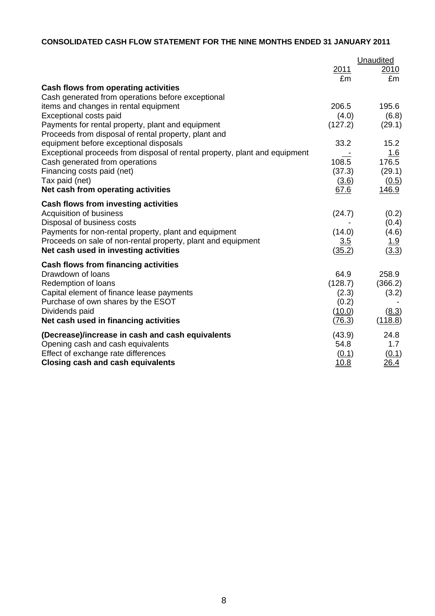# **CONSOLIDATED CASH FLOW STATEMENT FOR THE NINE MONTHS ENDED 31 JANUARY 2011**

|                                                                            |             | Unaudited   |
|----------------------------------------------------------------------------|-------------|-------------|
|                                                                            | 2011<br>£m  | 2010<br>£m  |
| Cash flows from operating activities                                       |             |             |
| Cash generated from operations before exceptional                          |             |             |
| items and changes in rental equipment                                      | 206.5       | 195.6       |
| Exceptional costs paid                                                     | (4.0)       | (6.8)       |
| Payments for rental property, plant and equipment                          | (127.2)     | (29.1)      |
| Proceeds from disposal of rental property, plant and                       |             |             |
| equipment before exceptional disposals                                     | 33.2        | 15.2        |
| Exceptional proceeds from disposal of rental property, plant and equipment |             | <u>1.6</u>  |
| Cash generated from operations                                             | 108.5       | 176.5       |
| Financing costs paid (net)                                                 | (37.3)      | (29.1)      |
| Tax paid (net)                                                             | (3.6)       | (0.5)       |
| Net cash from operating activities                                         | 67.6        | 146.9       |
| Cash flows from investing activities                                       |             |             |
| Acquisition of business                                                    | (24.7)      | (0.2)       |
| Disposal of business costs                                                 |             | (0.4)       |
| Payments for non-rental property, plant and equipment                      | (14.0)      | (4.6)       |
| Proceeds on sale of non-rental property, plant and equipment               | 3.5         | <u>1.9</u>  |
| Net cash used in investing activities                                      | (35.2)      | (3.3)       |
| Cash flows from financing activities                                       |             |             |
| Drawdown of loans                                                          | 64.9        | 258.9       |
| Redemption of loans                                                        | (128.7)     | (366.2)     |
| Capital element of finance lease payments                                  | (2.3)       | (3.2)       |
| Purchase of own shares by the ESOT                                         | (0.2)       |             |
| Dividends paid                                                             | (10.0)      | (8.3)       |
| Net cash used in financing activities                                      | (76.3)      | (118.8)     |
| (Decrease)/increase in cash and cash equivalents                           | (43.9)      | 24.8        |
| Opening cash and cash equivalents                                          | 54.8        | 1.7         |
| Effect of exchange rate differences                                        | (0.1)       | (0.1)       |
| Closing cash and cash equivalents                                          | <u>10.8</u> | <u>26.4</u> |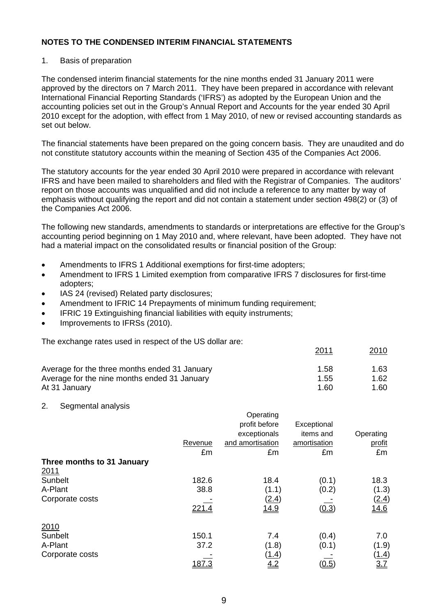### 1. Basis of preparation

The condensed interim financial statements for the nine months ended 31 January 2011 were approved by the directors on 7 March 2011. They have been prepared in accordance with relevant International Financial Reporting Standards ('IFRS') as adopted by the European Union and the accounting policies set out in the Group's Annual Report and Accounts for the year ended 30 April 2010 except for the adoption, with effect from 1 May 2010, of new or revised accounting standards as set out below.

The financial statements have been prepared on the going concern basis. They are unaudited and do not constitute statutory accounts within the meaning of Section 435 of the Companies Act 2006.

The statutory accounts for the year ended 30 April 2010 were prepared in accordance with relevant IFRS and have been mailed to shareholders and filed with the Registrar of Companies. The auditors' report on those accounts was unqualified and did not include a reference to any matter by way of emphasis without qualifying the report and did not contain a statement under section 498(2) or (3) of the Companies Act 2006.

The following new standards, amendments to standards or interpretations are effective for the Group's accounting period beginning on 1 May 2010 and, where relevant, have been adopted. They have not had a material impact on the consolidated results or financial position of the Group:

- Amendments to IFRS 1 Additional exemptions for first-time adopters;
- Amendment to IFRS 1 Limited exemption from comparative IFRS 7 disclosures for first-time adopters;
- IAS 24 (revised) Related party disclosures;
- Amendment to IFRIC 14 Prepayments of minimum funding requirement;
- IFRIC 19 Extinguishing financial liabilities with equity instruments;
- Improvements to IFRSs (2010).

The exchange rates used in respect of the US dollar are:

|                                               | 2011 | 2010 |
|-----------------------------------------------|------|------|
| Average for the three months ended 31 January | 1.58 | 1.63 |
| Average for the nine months ended 31 January  | 1.55 | 1.62 |
| At 31 January                                 | 1.60 | 1.60 |

2. Segmental analysis

|                            |         | Operating        |                |              |
|----------------------------|---------|------------------|----------------|--------------|
|                            |         | profit before    | Exceptional    |              |
|                            |         | exceptionals     | items and      | Operating    |
|                            | Revenue | and amortisation | amortisation   | profit       |
|                            | £m      | £m               | £m             | £m           |
| Three months to 31 January |         |                  |                |              |
| <u>2011</u>                |         |                  |                |              |
| Sunbelt                    | 182.6   | 18.4             | (0.1)          | 18.3         |
| A-Plant                    | 38.8    | (1.1)            | (0.2)          | (1.3)        |
| Corporate costs            |         | (2.4)            |                | <u>(2.4)</u> |
|                            | 221.4   | <u>14.9</u>      | (0.3)          | <u>14.6</u>  |
|                            |         |                  |                |              |
| 2010                       |         |                  |                |              |
| Sunbelt                    | 150.1   | 7.4              | (0.4)          | 7.0          |
| A-Plant                    | 37.2    | (1.8)            | (0.1)          | (1.9)        |
| Corporate costs            |         | <u>(1.4)</u>     |                | <u>(1.4)</u> |
|                            | 187.3   | 4.2              | ( <u>0.5</u> ) | 3.7          |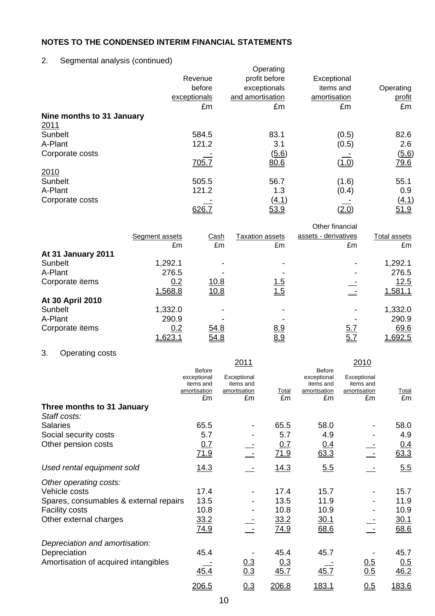# 2. Segmental analysis (continued)

| ັ                         | Revenue<br>before<br>exceptionals | Operating<br>profit before<br>exceptionals<br>and amortisation | Exceptional<br>items and<br>amortisation | Operating<br>profit |
|---------------------------|-----------------------------------|----------------------------------------------------------------|------------------------------------------|---------------------|
|                           | £m                                | £m                                                             | £m                                       | £m                  |
| Nine months to 31 January |                                   |                                                                |                                          |                     |
| 2011                      |                                   |                                                                |                                          |                     |
| Sunbelt                   | 584.5                             | 83.1                                                           | (0.5)                                    | 82.6                |
| A-Plant                   | 121.2                             | 3.1                                                            | (0.5)                                    | 2.6                 |
| Corporate costs           |                                   | (5.6)                                                          |                                          | (5.6)               |
|                           | <u>705.7</u>                      | 80.6                                                           | ( <u>1.0</u> )                           | <u>79.6</u>         |
| 2010                      |                                   |                                                                |                                          |                     |
| Sunbelt                   | 505.5                             | 56.7                                                           | (1.6)                                    | 55.1                |
| A-Plant                   | 121.2                             | 1.3                                                            | (0.4)                                    | 0.9                 |
| Corporate costs           |                                   | (4.1)                                                          |                                          | (4.1)               |
|                           |                                   | 53.9                                                           | <u>2.0</u>                               | <u>51.9</u>         |

|                    |                |      |                 | Other financial      |              |
|--------------------|----------------|------|-----------------|----------------------|--------------|
|                    | Segment assets | Cash | Taxation assets | assets - derivatives | Total assets |
|                    | £m             | £m   | £m              | £m                   | £m           |
| At 31 January 2011 |                |      |                 |                      |              |
| Sunbelt            | 1,292.1        |      |                 |                      | 1,292.1      |
| A-Plant            | 276.5          |      |                 |                      | 276.5        |
| Corporate items    | 0.2            | 10.8 | <u>1.5</u>      |                      | 12.5         |
|                    | 1,568.8        | 10.8 | 1.5             |                      | 1,581.1      |
| At 30 April 2010   |                |      |                 |                      |              |
| Sunbelt            | 1,332.0        |      |                 |                      | 1,332.0      |
| A-Plant            | 290.9          |      |                 |                      | 290.9        |
| Corporate items    | 0.2            | 54.8 | <u>8.9</u>      | <u>5.7</u>           | 69.6         |
|                    | <u>1,623.1</u> | 54.8 | 8.9             | 5.7                  | 1,692.5      |

# 3. Operating costs

|                                            |                                                          | 2011                                           |                     |                                                                 | 2010                                           |                    |
|--------------------------------------------|----------------------------------------------------------|------------------------------------------------|---------------------|-----------------------------------------------------------------|------------------------------------------------|--------------------|
|                                            | Before<br>exceptional<br>items and<br>amortisation<br>£m | Exceptional<br>items and<br>amortisation<br>£m | Total<br>£m         | <b>Before</b><br>exceptional<br>items and<br>amortisation<br>£m | Exceptional<br>items and<br>amortisation<br>£m | <b>Total</b><br>£m |
| Three months to 31 January<br>Staff costs: |                                                          |                                                |                     |                                                                 |                                                |                    |
| <b>Salaries</b>                            | 65.5                                                     |                                                | 65.5                | 58.0                                                            |                                                | 58.0               |
| Social security costs                      | 5.7                                                      |                                                | 5.7                 | 4.9                                                             |                                                | 4.9                |
| Other pension costs                        | 0.7<br>71.9                                              |                                                | 0.7<br>71.9         | <u>0.4</u><br>63.3                                              |                                                | <u>0.4</u><br>63.3 |
| Used rental equipment sold                 | <u>14.3</u>                                              |                                                | 14.3                | 5.5                                                             |                                                | 5.5                |
| Other operating costs:                     |                                                          |                                                |                     |                                                                 |                                                |                    |
| Vehicle costs                              | 17.4                                                     |                                                | 17.4                | 15.7                                                            |                                                | 15.7               |
| Spares, consumables & external repairs     | 13.5                                                     |                                                | 13.5                | 11.9                                                            |                                                | 11.9               |
| <b>Facility costs</b>                      | 10.8                                                     |                                                | 10.8                | 10.9                                                            |                                                | 10.9               |
| Other external charges                     | 33.2<br><u>74.9</u>                                      |                                                | 33.2<br><u>74.9</u> | <u>30.1</u><br>68.6                                             |                                                | 30.1<br>68.6       |
| Depreciation and amortisation:             |                                                          |                                                |                     |                                                                 |                                                |                    |
| Depreciation                               | 45.4                                                     |                                                | 45.4                | 45.7                                                            |                                                | 45.7               |
| Amortisation of acquired intangibles       | 45.4                                                     | 0.3<br>0.3                                     | 0.3<br>45.7         | 45.7                                                            | 0.5<br>0.5                                     | <u>0.5</u><br>46.2 |
|                                            | 206.5                                                    | 0.3                                            | 206.8               | <u> 183.1</u>                                                   | 0.5                                            | 183.6              |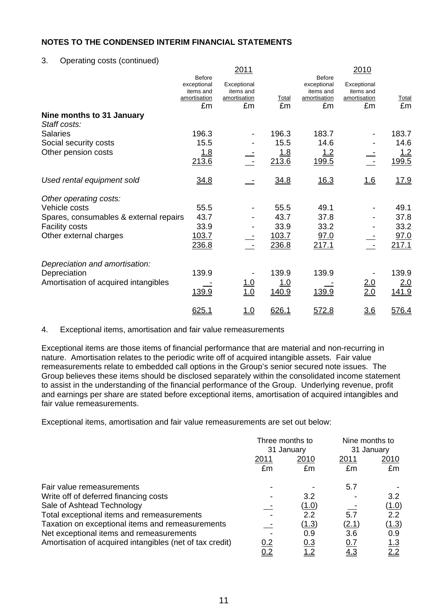3. Operating costs (continued)

|                                        |                                                                 | 2011                                           |              |                                                                 | 2010                                           |              |
|----------------------------------------|-----------------------------------------------------------------|------------------------------------------------|--------------|-----------------------------------------------------------------|------------------------------------------------|--------------|
|                                        | <b>Before</b><br>exceptional<br>items and<br>amortisation<br>£m | Exceptional<br>items and<br>amortisation<br>£m | Total<br>£m  | <b>Before</b><br>exceptional<br>items and<br>amortisation<br>£m | Exceptional<br>items and<br>amortisation<br>£m | Total<br>£m  |
| Nine months to 31 January              |                                                                 |                                                |              |                                                                 |                                                |              |
| Staff costs:                           |                                                                 |                                                |              |                                                                 |                                                |              |
| <b>Salaries</b>                        | 196.3                                                           |                                                | 196.3        | 183.7                                                           |                                                | 183.7        |
| Social security costs                  | 15.5                                                            |                                                | 15.5         | 14.6                                                            |                                                | 14.6         |
| Other pension costs                    | <u>1.8</u><br>213.6                                             |                                                | 1.8<br>213.6 | <u>1.2</u><br>199.5                                             |                                                | 1.2<br>199.5 |
| Used rental equipment sold             | 34.8                                                            |                                                | 34.8         | 16.3                                                            | 1.6                                            | <u>17.9</u>  |
| Other operating costs:                 |                                                                 |                                                |              |                                                                 |                                                |              |
| Vehicle costs                          | 55.5                                                            |                                                | 55.5         | 49.1                                                            |                                                | 49.1         |
| Spares, consumables & external repairs | 43.7                                                            |                                                | 43.7         | 37.8                                                            |                                                | 37.8         |
| <b>Facility costs</b>                  | 33.9                                                            |                                                | 33.9         | 33.2                                                            |                                                | 33.2         |
| Other external charges                 | 103.7                                                           |                                                | 103.7        | 97.0                                                            |                                                | 97.0         |
|                                        | 236.8                                                           | $\sim$ $-$                                     | 236.8        | 217.1                                                           |                                                | 217.1        |
| Depreciation and amortisation:         |                                                                 |                                                |              |                                                                 |                                                |              |
| Depreciation                           | 139.9                                                           |                                                | 139.9        | 139.9                                                           |                                                | 139.9        |
| Amortisation of acquired intangibles   |                                                                 |                                                | 1.0          |                                                                 |                                                | 2.0          |
|                                        | 139.9                                                           | $\frac{1.0}{1.0}$                              | 140.9        | 139.9                                                           | $\frac{2.0}{2.0}$                              | 141.9        |
|                                        | 625.1                                                           | <u>1.0</u>                                     | 626.1        | <u>572.8</u>                                                    | <u>3.6</u>                                     | 576.4        |

### 4. Exceptional items, amortisation and fair value remeasurements

Exceptional items are those items of financial performance that are material and non-recurring in nature. Amortisation relates to the periodic write off of acquired intangible assets. Fair value remeasurements relate to embedded call options in the Group's senior secured note issues. The Group believes these items should be disclosed separately within the consolidated income statement to assist in the understanding of the financial performance of the Group. Underlying revenue, profit and earnings per share are stated before exceptional items, amortisation of acquired intangibles and fair value remeasurements.

Exceptional items, amortisation and fair value remeasurements are set out below:

|                                                          | Three months to<br>31 January |            | Nine months to<br>31 January |               |
|----------------------------------------------------------|-------------------------------|------------|------------------------------|---------------|
|                                                          |                               |            |                              |               |
|                                                          | <u> 2011</u>                  | 2010       | <u>2011</u>                  | <u> 2010</u>  |
|                                                          | £m                            | £m         | £m                           | £m            |
| Fair value remeasurements                                |                               |            | 5.7                          |               |
| Write off of deferred financing costs                    |                               | 3.2        |                              | 3.2           |
| Sale of Ashtead Technology                               |                               | (1.0)      |                              | <u>(1.0)</u>  |
| Total exceptional items and remeasurements               |                               | 2.2        | 5.7                          | $2.2^{\circ}$ |
| Taxation on exceptional items and remeasurements         |                               | (1.3)      | (2.1)                        | <u>(1.3)</u>  |
| Net exceptional items and remeasurements                 |                               | 0.9        | 3.6                          | 0.9           |
| Amortisation of acquired intangibles (net of tax credit) | 0.2                           | <u>0.3</u> | <u>0.7</u>                   | <u> 1.3</u>   |
|                                                          | <u>0.2</u>                    | <u>1.2</u> | 4.3                          | 2.2           |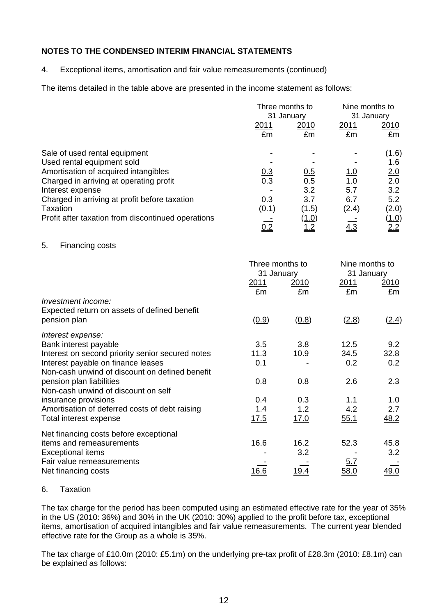4. Exceptional items, amortisation and fair value remeasurements (continued)

The items detailed in the table above are presented in the income statement as follows:

|                                                    | Three months to<br>31 January |              | Nine months to<br>31 January |                   |
|----------------------------------------------------|-------------------------------|--------------|------------------------------|-------------------|
|                                                    |                               |              |                              |                   |
|                                                    | 2011                          | 2010         | 2011                         | 2010              |
|                                                    | £m                            | £m           | £m                           | £m                |
| Sale of used rental equipment                      |                               |              |                              | (1.6)             |
| Used rental equipment sold                         |                               |              |                              | 1.6               |
| Amortisation of acquired intangibles               | <u>0.3</u>                    | <u>0.5</u>   | <u>1.0</u>                   | 2.0               |
| Charged in arriving at operating profit            | 0.3                           | 0.5          | 1.0                          | 2.0               |
| Interest expense                                   |                               | 3.2          | 5.7                          |                   |
| Charged in arriving at profit before taxation      | 0.3                           | 3.7          | 6.7                          | $\frac{3.2}{5.2}$ |
| Taxation                                           | (0.1)                         | (1.5)        | (2.4)                        | (2.0)             |
| Profit after taxation from discontinued operations |                               | <u>(1.0)</u> |                              | <u>(1.0)</u>      |
|                                                    | <u>0.2</u>                    | <u>1.2</u>   | <u>4.3</u>                   | 2.2               |

#### 5. Financing costs

|                                                  | Three months to<br>31 January<br><u>2011</u> | <u> 2010</u> | Nine months to<br>31 January<br><u>2011</u> | <u> 2010</u> |
|--------------------------------------------------|----------------------------------------------|--------------|---------------------------------------------|--------------|
|                                                  | £m                                           | £m           | £m                                          | £m           |
| Investment income:                               |                                              |              |                                             |              |
| Expected return on assets of defined benefit     |                                              |              |                                             |              |
| pension plan                                     | (0.9)                                        | (0.8)        | (2.8)                                       | (2.4)        |
| Interest expense:                                |                                              |              |                                             |              |
| Bank interest payable                            | 3.5                                          | 3.8          | 12.5                                        | 9.2          |
| Interest on second priority senior secured notes | 11.3                                         | 10.9         | 34.5                                        | 32.8         |
| Interest payable on finance leases               | 0.1                                          |              | 0.2                                         | 0.2          |
| Non-cash unwind of discount on defined benefit   |                                              |              |                                             |              |
| pension plan liabilities                         | 0.8                                          | 0.8          | 2.6                                         | 2.3          |
| Non-cash unwind of discount on self              |                                              |              |                                             |              |
| insurance provisions                             | 0.4                                          | 0.3          | 1.1                                         | 1.0          |
| Amortisation of deferred costs of debt raising   | <u> 1.4</u>                                  | <u> 1.2</u>  | $\frac{4.2}{55.1}$                          | 2.7          |
| Total interest expense                           | 17.5                                         | 17.0         |                                             | 48.2         |
| Net financing costs before exceptional           |                                              |              |                                             |              |
| items and remeasurements                         | 16.6                                         | 16.2         | 52.3                                        | 45.8         |
| <b>Exceptional items</b>                         |                                              | 3.2          |                                             | 3.2          |
| Fair value remeasurements                        |                                              |              | <u>5.7</u>                                  |              |
| Net financing costs                              | 16.6                                         |              | <u>58.C</u>                                 | <u>49.0</u>  |
|                                                  |                                              |              |                                             |              |

### 6. Taxation

The tax charge for the period has been computed using an estimated effective rate for the year of 35% in the US (2010: 36%) and 30% in the UK (2010: 30%) applied to the profit before tax, exceptional items, amortisation of acquired intangibles and fair value remeasurements. The current year blended effective rate for the Group as a whole is 35%.

The tax charge of £10.0m (2010: £5.1m) on the underlying pre-tax profit of £28.3m (2010: £8.1m) can be explained as follows: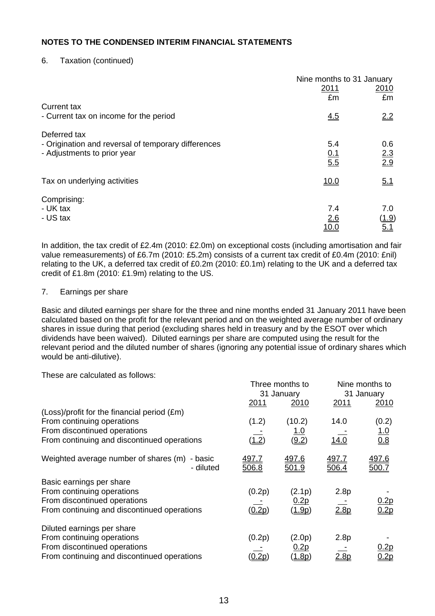# 6. Taxation (continued)

|                                                                                    | Nine months to 31 January |                   |
|------------------------------------------------------------------------------------|---------------------------|-------------------|
|                                                                                    | 2011                      | <u>2010</u>       |
|                                                                                    | £m                        | £m                |
| Current tax<br>- Current tax on income for the period                              | 4.5                       | 2.2               |
| Deferred tax                                                                       |                           |                   |
| - Origination and reversal of temporary differences<br>- Adjustments to prior year | 5.4                       | 0.6               |
|                                                                                    | $\frac{0.1}{5.5}$         | $\frac{2.3}{2.9}$ |
| Tax on underlying activities                                                       | <u>10.0</u>               | 5.1               |
| Comprising:                                                                        |                           |                   |
| - UK tax                                                                           | 7.4                       | 7.0               |
| - US tax                                                                           | 2.6                       | (1.9)             |
|                                                                                    | <u> 10.0</u>              | 5.1               |

In addition, the tax credit of £2.4m (2010: £2.0m) on exceptional costs (including amortisation and fair value remeasurements) of £6.7m (2010: £5.2m) consists of a current tax credit of £0.4m (2010: £nil) relating to the UK, a deferred tax credit of £0.2m (2010: £0.1m) relating to the UK and a deferred tax credit of £1.8m (2010: £1.9m) relating to the US.

#### 7. Earnings per share

Basic and diluted earnings per share for the three and nine months ended 31 January 2011 have been calculated based on the profit for the relevant period and on the weighted average number of ordinary shares in issue during that period (excluding shares held in treasury and by the ESOT over which dividends have been waived). Diluted earnings per share are computed using the result for the relevant period and the diluted number of shares (ignoring any potential issue of ordinary shares which would be anti-dilutive).

These are calculated as follows:

|                                                               | Three months to<br>31 January |                              | Nine months to<br>31 January |                       |
|---------------------------------------------------------------|-------------------------------|------------------------------|------------------------------|-----------------------|
|                                                               | 2011                          | 2010                         | 2011                         | 2010                  |
| (Loss)/profit for the financial period (£m)                   |                               |                              |                              |                       |
| From continuing operations                                    | (1.2)                         | (10.2)                       | 14.0                         | (0.2)                 |
| From discontinued operations                                  |                               | <u> 1.0</u>                  |                              | $\frac{1.0}{0.8}$     |
| From continuing and discontinued operations                   | (1.2)                         | (9.2)                        | 14.0                         |                       |
| Weighted average number of shares (m)<br>- basic<br>- diluted | <u>497.7</u><br>506.8         | <u>497.6</u><br><u>501.9</u> | <u>497.7</u><br>506.4        | <u>497.6</u><br>500.7 |
| Basic earnings per share                                      |                               |                              |                              |                       |
| From continuing operations                                    | (0.2p)                        | (2.1p)                       | 2.8p                         |                       |
| From discontinued operations                                  |                               | <u>0.2p</u>                  |                              | 0.2 <sub>p</sub>      |
| From continuing and discontinued operations                   | <u>(0.2p)</u>                 | <u>(1.9p)</u>                | 2.8 <sub>p</sub>             | 0.2p                  |
| Diluted earnings per share                                    |                               |                              |                              |                       |
| From continuing operations                                    | (0.2p)                        | (2.0p)                       | 2.8p                         |                       |
| From discontinued operations                                  |                               | <u>0.2p</u>                  |                              | 0.2p                  |
| From continuing and discontinued operations                   |                               | <u>(1.8p)</u>                | <u>2.8p</u>                  | 0.2p                  |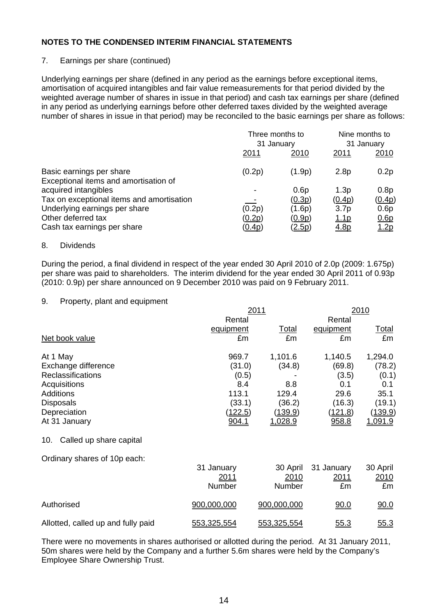# 7. Earnings per share (continued)

Underlying earnings per share (defined in any period as the earnings before exceptional items, amortisation of acquired intangibles and fair value remeasurements for that period divided by the weighted average number of shares in issue in that period) and cash tax earnings per share (defined in any period as underlying earnings before other deferred taxes divided by the weighted average number of shares in issue in that period) may be reconciled to the basic earnings per share as follows:

|                                                                   |               | Three months to<br>31 January |                  | Nine months to<br>31 January |  |
|-------------------------------------------------------------------|---------------|-------------------------------|------------------|------------------------------|--|
|                                                                   | 2011          | 2010                          | 2011             | 2010                         |  |
| Basic earnings per share<br>Exceptional items and amortisation of | (0.2p)        | (1.9p)                        | 2.8 <sub>p</sub> | 0.2p                         |  |
| acquired intangibles                                              |               | 0.6p                          | 1.3p             | 0.8p                         |  |
| Tax on exceptional items and amortisation                         |               | (0.3p)                        | (0.4p)           | (0.4p)                       |  |
| Underlying earnings per share                                     | (0.2p)        | (1.6p)                        | 3.7 <sub>p</sub> | 0.6p                         |  |
| Other deferred tax                                                | <u>(0.2p)</u> | (0.9p)                        | <u>1.1p</u>      | 0.6p                         |  |
| Cash tax earnings per share                                       | <u>(0.4p)</u> | <u>(2.5p)</u>                 | <u>4.8p</u>      | 1.2p                         |  |

#### 8. Dividends

During the period, a final dividend in respect of the year ended 30 April 2010 of 2.0p (2009: 1.675p) per share was paid to shareholders. The interim dividend for the year ended 30 April 2011 of 0.93p (2010: 0.9p) per share announced on 9 December 2010 was paid on 9 February 2011.

#### 9. Property, plant and equipment

|                                    |                | 2011           |                | 2010           |  |  |
|------------------------------------|----------------|----------------|----------------|----------------|--|--|
|                                    | Rental         |                | Rental         |                |  |  |
|                                    | equipment      | Total          | equipment      | <u>Total</u>   |  |  |
| Net book value                     | £m             | £m             | £m             | £m             |  |  |
| At 1 May                           | 969.7          | 1,101.6        | 1,140.5        | 1,294.0        |  |  |
| Exchange difference                | (31.0)         | (34.8)         | (69.8)         | (78.2)         |  |  |
| Reclassifications                  | (0.5)          |                | (3.5)          | (0.1)          |  |  |
| Acquisitions                       | 8.4            | 8.8            | 0.1            | 0.1            |  |  |
| <b>Additions</b>                   | 113.1          | 129.4          | 29.6           | 35.1           |  |  |
| <b>Disposals</b>                   | (33.1)         | (36.2)         | (16.3)         | (19.1)         |  |  |
| Depreciation                       | <u>(122.5)</u> | <u>(139.9)</u> | <u>(121.8)</u> | <u>(139.9)</u> |  |  |
| At 31 January                      | 904.1          | 1,028.9        | 958.8          | 1,091.9        |  |  |
| Called up share capital<br>10.     |                |                |                |                |  |  |
| Ordinary shares of 10p each:       |                |                |                |                |  |  |
|                                    | 31 January     | 30 April       | 31 January     | 30 April       |  |  |
|                                    | 2011           | 2010           | <u> 2011</u>   | 2010           |  |  |
|                                    | <b>Number</b>  | Number         | £m             | £m             |  |  |
| Authorised                         | 900,000,000    | 900,000,000    | 90.0           | 90.0           |  |  |
| Allotted, called up and fully paid | 553,325,554    | 553,325,554    | 55.3           | 55.3           |  |  |

There were no movements in shares authorised or allotted during the period. At 31 January 2011, 50m shares were held by the Company and a further 5.6m shares were held by the Company's Employee Share Ownership Trust.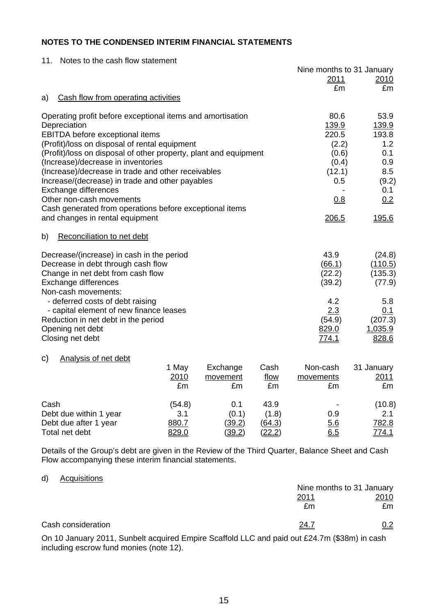11. Notes to the cash flow statement

|                                                                                                        |        |          |               | Nine months to 31 January |                  |
|--------------------------------------------------------------------------------------------------------|--------|----------|---------------|---------------------------|------------------|
|                                                                                                        |        |          |               | 2011                      | 2010             |
|                                                                                                        |        |          |               | £m                        | £m               |
| Cash flow from operating activities<br>a)                                                              |        |          |               |                           |                  |
| Operating profit before exceptional items and amortisation                                             |        |          |               | 80.6                      | 53.9             |
| Depreciation                                                                                           |        |          |               | 139.9                     | 139.9            |
| <b>EBITDA</b> before exceptional items                                                                 |        |          |               | 220.5                     | 193.8            |
| (Profit)/loss on disposal of rental equipment                                                          |        |          |               | (2.2)                     | 1.2              |
| (Profit)/loss on disposal of other property, plant and equipment<br>(Increase)/decrease in inventories |        |          |               | (0.6)                     | 0.1<br>0.9       |
| (Increase)/decrease in trade and other receivables                                                     |        |          |               | (0.4)<br>(12.1)           | 8.5              |
| Increase/(decrease) in trade and other payables                                                        |        |          |               | 0.5                       | (9.2)            |
| Exchange differences                                                                                   |        |          |               |                           | 0.1              |
| Other non-cash movements                                                                               | 0.8    | 0.2      |               |                           |                  |
| Cash generated from operations before exceptional items                                                |        |          |               |                           |                  |
| and changes in rental equipment                                                                        |        |          |               | 206.5                     | 195.6            |
| Reconciliation to net debt<br>b)                                                                       |        |          |               |                           |                  |
| Decrease/(increase) in cash in the period                                                              |        |          |               | 43.9                      | (24.8)           |
| Decrease in debt through cash flow                                                                     |        |          |               | (66.1)                    | (110.5)          |
| Change in net debt from cash flow                                                                      |        |          |               | (22.2)                    | (135.3)          |
| Exchange differences                                                                                   |        |          |               | (39.2)                    | (77.9)           |
| Non-cash movements:                                                                                    |        |          |               |                           |                  |
| - deferred costs of debt raising                                                                       |        |          |               | 4.2                       | 5.8              |
| - capital element of new finance leases                                                                |        |          |               | 2.3                       | 0.1              |
| Reduction in net debt in the period                                                                    |        |          |               | (54.9)                    | (207.3)          |
| Opening net debt<br>Closing net debt                                                                   |        |          |               | 829.0<br><u>774.1</u>     | 1,035.9<br>828.6 |
|                                                                                                        |        |          |               |                           |                  |
| Analysis of net debt<br>C)                                                                             |        |          |               |                           |                  |
|                                                                                                        | 1 May  | Exchange | Cash          | Non-cash                  | 31 January       |
|                                                                                                        | 2010   | movement | flow          | movements                 | 2011             |
|                                                                                                        | £m     | £m       | £m            | £m                        | £m               |
| Cash                                                                                                   | (54.8) | 0.1      | 43.9          |                           | (10.8)           |
| Debt due within 1 year                                                                                 | 3.1    | (0.1)    | (1.8)         | 0.9                       | 2.1              |
| Debt due after 1 year                                                                                  | 880.7  | (39.2)   | (64.3)        | 5.6                       | 782.8            |
| Total net debt                                                                                         | 829.0  | (39.2)   | <u>(22.2)</u> | 6.5                       | 774.1            |

Details of the Group's debt are given in the Review of the Third Quarter, Balance Sheet and Cash Flow accompanying these interim financial statements.

#### d) Acquisitions

|                                                                                                                                                                                                                                                                                                                                                                                               |              | Nine months to 31 January |
|-----------------------------------------------------------------------------------------------------------------------------------------------------------------------------------------------------------------------------------------------------------------------------------------------------------------------------------------------------------------------------------------------|--------------|---------------------------|
|                                                                                                                                                                                                                                                                                                                                                                                               | <u> 2011</u> | 2010                      |
|                                                                                                                                                                                                                                                                                                                                                                                               | £m           | £m                        |
| Cash consideration                                                                                                                                                                                                                                                                                                                                                                            | <u> 24.7</u> | <u>0.2</u>                |
| $\bigcap_{i=1}^n A_i \cap A_i = \bigcap_{i=1}^n A_i \cap A_i = \bigcap_{i=1}^n A_i = \bigcap_{i=1}^n A_i = \bigcap_{i=1}^n A_i = \bigcap_{i=1}^n A_i = \bigcap_{i=1}^n A_i = \bigcap_{i=1}^n A_i = \bigcap_{i=1}^n A_i = \bigcap_{i=1}^n A_i = \bigcap_{i=1}^n A_i = \bigcap_{i=1}^n A_i = \bigcap_{i=1}^n A_i = \bigcap_{i=1}^n A_i = \bigcap_{i=1}^n A_i = \bigcap_{i=1}^n A_i = \bigcap_{$ |              |                           |

On 10 January 2011, Sunbelt acquired Empire Scaffold LLC and paid out £24.7m (\$38m) in cash including escrow fund monies (note 12).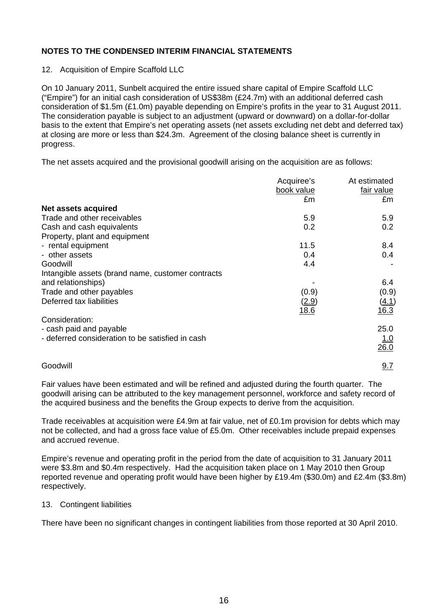12. Acquisition of Empire Scaffold LLC

On 10 January 2011, Sunbelt acquired the entire issued share capital of Empire Scaffold LLC ("Empire") for an initial cash consideration of US\$38m (£24.7m) with an additional deferred cash consideration of \$1.5m (£1.0m) payable depending on Empire's profits in the year to 31 August 2011. The consideration payable is subject to an adjustment (upward or downward) on a dollar-for-dollar basis to the extent that Empire's net operating assets (net assets excluding net debt and deferred tax) at closing are more or less than \$24.3m. Agreement of the closing balance sheet is currently in progress.

The net assets acquired and the provisional goodwill arising on the acquisition are as follows:

|                                                   | Acquiree's | At estimated     |
|---------------------------------------------------|------------|------------------|
|                                                   | book value | fair value       |
|                                                   | £m         | £m               |
| Net assets acquired                               |            |                  |
| Trade and other receivables                       | 5.9        | 5.9              |
| Cash and cash equivalents                         | 0.2        | 0.2 <sub>0</sub> |
| Property, plant and equipment                     |            |                  |
| - rental equipment                                | 11.5       | 8.4              |
| - other assets                                    | 0.4        | 0.4              |
| Goodwill                                          | 4.4        |                  |
| Intangible assets (brand name, customer contracts |            |                  |
| and relationships)                                |            | 6.4              |
| Trade and other payables                          | (0.9)      | (0.9)            |
| Deferred tax liabilities                          | (2.9)      | (4.1)            |
|                                                   | 18.6       | 16.3             |
| Consideration:                                    |            |                  |
| - cash paid and payable                           |            | 25.0             |
| - deferred consideration to be satisfied in cash  |            | 1.0              |
|                                                   |            | 26.0             |
| Goodwill                                          |            | 9.7              |

Fair values have been estimated and will be refined and adjusted during the fourth quarter. The goodwill arising can be attributed to the key management personnel, workforce and safety record of the acquired business and the benefits the Group expects to derive from the acquisition.

Trade receivables at acquisition were £4.9m at fair value, net of £0.1m provision for debts which may not be collected, and had a gross face value of £5.0m. Other receivables include prepaid expenses and accrued revenue.

Empire's revenue and operating profit in the period from the date of acquisition to 31 January 2011 were \$3.8m and \$0.4m respectively. Had the acquisition taken place on 1 May 2010 then Group reported revenue and operating profit would have been higher by £19.4m (\$30.0m) and £2.4m (\$3.8m) respectively.

### 13. Contingent liabilities

There have been no significant changes in contingent liabilities from those reported at 30 April 2010.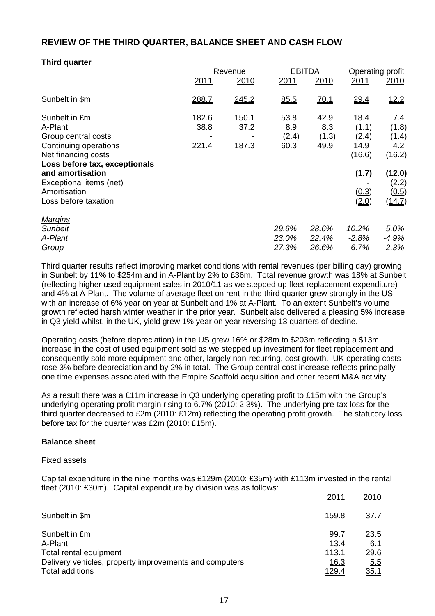# **REVIEW OF THE THIRD QUARTER, BALANCE SHEET AND CASH FLOW**

# **Third quarter**

|                                                                                                                                                                                                                         | Revenue                       |                        | <b>EBITDA</b>                       |                              | Operating profit                                                    |                                                                                     |
|-------------------------------------------------------------------------------------------------------------------------------------------------------------------------------------------------------------------------|-------------------------------|------------------------|-------------------------------------|------------------------------|---------------------------------------------------------------------|-------------------------------------------------------------------------------------|
|                                                                                                                                                                                                                         | 2011                          | 2010                   | 2011                                | 2010                         | 2011                                                                | 2010                                                                                |
| Sunbelt in \$m                                                                                                                                                                                                          | 288.7                         | 245.2                  | 85.5                                | <u>70.1</u>                  | 29.4                                                                | 12.2                                                                                |
| Sunbelt in £m<br>A-Plant<br>Group central costs<br>Continuing operations<br>Net financing costs<br>Loss before tax, exceptionals<br>and amortisation<br>Exceptional items (net)<br>Amortisation<br>Loss before taxation | 182.6<br>38.8<br><u>221.4</u> | 150.1<br>37.2<br>187.3 | 53.8<br>8.9<br><u>(2.4)</u><br>60.3 | 42.9<br>8.3<br>(1.3)<br>49.9 | 18.4<br>(1.1)<br>(2.4)<br>14.9<br>(16.6)<br>(1.7)<br>(0.3)<br>(2.0) | 7.4<br>(1.8)<br>(1.4)<br>4.2<br>(16.2)<br>(12.0)<br>(2.2)<br><u>(0.5)</u><br>(14.7) |
| <u>Marqins</u><br><b>Sunbelt</b>                                                                                                                                                                                        |                               |                        | 29.6%                               | 28.6%                        | 10.2%                                                               | 5.0%                                                                                |
| A-Plant                                                                                                                                                                                                                 |                               |                        | 23.0%                               | 22.4%                        | $-2.8%$                                                             | -4.9%                                                                               |
| Group                                                                                                                                                                                                                   |                               |                        | 27.3%                               | 26.6%                        | 6.7%                                                                | 2.3%                                                                                |

Third quarter results reflect improving market conditions with rental revenues (per billing day) growing in Sunbelt by 11% to \$254m and in A-Plant by 2% to £36m. Total revenue growth was 18% at Sunbelt (reflecting higher used equipment sales in 2010/11 as we stepped up fleet replacement expenditure) and 4% at A-Plant. The volume of average fleet on rent in the third quarter grew strongly in the US with an increase of 6% year on year at Sunbelt and 1% at A-Plant. To an extent Sunbelt's volume growth reflected harsh winter weather in the prior year. Sunbelt also delivered a pleasing 5% increase in Q3 yield whilst, in the UK, yield grew 1% year on year reversing 13 quarters of decline.

Operating costs (before depreciation) in the US grew 16% or \$28m to \$203m reflecting a \$13m increase in the cost of used equipment sold as we stepped up investment for fleet replacement and consequently sold more equipment and other, largely non-recurring, cost growth. UK operating costs rose 3% before depreciation and by 2% in total. The Group central cost increase reflects principally one time expenses associated with the Empire Scaffold acquisition and other recent M&A activity.

As a result there was a £11m increase in Q3 underlying operating profit to £15m with the Group's underlying operating profit margin rising to 6.7% (2010: 2.3%). The underlying pre-tax loss for the third quarter decreased to £2m (2010: £12m) reflecting the operating profit growth. The statutory loss before tax for the quarter was £2m (2010: £15m).

#### **Balance sheet**

#### Fixed assets

Capital expenditure in the nine months was £129m (2010: £35m) with £113m invested in the rental fleet (2010: £30m). Capital expenditure by division was as follows:

|                                                                                                                                 | 2011                                                        | 2010                                             |
|---------------------------------------------------------------------------------------------------------------------------------|-------------------------------------------------------------|--------------------------------------------------|
| Sunbelt in \$m                                                                                                                  | <u>159.8</u>                                                | <u>37.7</u>                                      |
| Sunbelt in £m<br>A-Plant<br>Total rental equipment<br>Delivery vehicles, property improvements and computers<br>Total additions | 99.7<br><u>13.4</u><br>113.1<br><u>16.3</u><br><u>129.4</u> | 23.5<br><u>6.1</u><br>29.6<br>5.5<br><u>35.1</u> |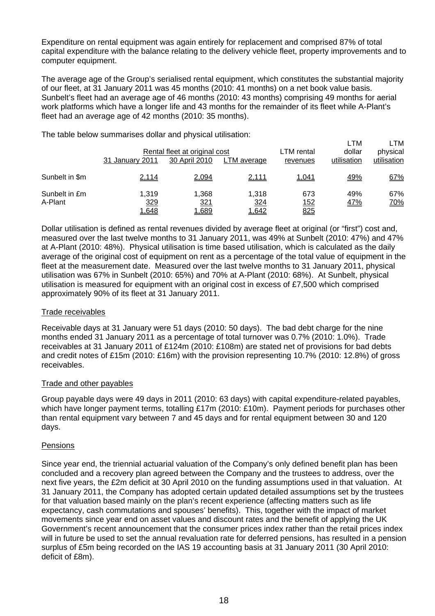Expenditure on rental equipment was again entirely for replacement and comprised 87% of total capital expenditure with the balance relating to the delivery vehicle fleet, property improvements and to computer equipment.

The average age of the Group's serialised rental equipment, which constitutes the substantial majority of our fleet, at 31 January 2011 was 45 months (2010: 41 months) on a net book value basis. Sunbelt's fleet had an average age of 46 months (2010: 43 months) comprising 49 months for aerial work platforms which have a longer life and 43 months for the remainder of its fleet while A-Plant's fleet had an average age of 42 months (2010: 35 months).

The table below summarises dollar and physical utilisation:

|                          | 31 January 2011       | Rental fleet at original cost<br>30 April 2010 | LTM average           | LTM rental<br>revenues    | LTM<br>dollar<br>utilisation | LTM<br>physical<br>utilisation |
|--------------------------|-----------------------|------------------------------------------------|-----------------------|---------------------------|------------------------------|--------------------------------|
| Sunbelt in \$m           | 2,114                 | 2,094                                          | 2,111                 | 1,041                     | 49%                          | 67%                            |
| Sunbelt in £m<br>A-Plant | 1.319<br>329<br>1,648 | 1,368<br><u>321</u><br>1,689                   | 1.318<br>324<br>1,642 | 673<br><u> 152</u><br>825 | 49%<br><u>47%</u>            | 67%<br><u>70%</u>              |

Dollar utilisation is defined as rental revenues divided by average fleet at original (or "first") cost and, measured over the last twelve months to 31 January 2011, was 49% at Sunbelt (2010: 47%) and 47% at A-Plant (2010: 48%). Physical utilisation is time based utilisation, which is calculated as the daily average of the original cost of equipment on rent as a percentage of the total value of equipment in the fleet at the measurement date. Measured over the last twelve months to 31 January 2011, physical utilisation was 67% in Sunbelt (2010: 65%) and 70% at A-Plant (2010: 68%). At Sunbelt, physical utilisation is measured for equipment with an original cost in excess of £7,500 which comprised approximately 90% of its fleet at 31 January 2011.

# Trade receivables

Receivable days at 31 January were 51 days (2010: 50 days). The bad debt charge for the nine months ended 31 January 2011 as a percentage of total turnover was 0.7% (2010: 1.0%). Trade receivables at 31 January 2011 of £124m (2010: £108m) are stated net of provisions for bad debts and credit notes of £15m (2010: £16m) with the provision representing 10.7% (2010: 12.8%) of gross receivables.

### Trade and other payables

Group payable days were 49 days in 2011 (2010: 63 days) with capital expenditure-related payables, which have longer payment terms, totalling £17m (2010: £10m). Payment periods for purchases other than rental equipment vary between 7 and 45 days and for rental equipment between 30 and 120 days.

# Pensions

Since year end, the triennial actuarial valuation of the Company's only defined benefit plan has been concluded and a recovery plan agreed between the Company and the trustees to address, over the next five years, the £2m deficit at 30 April 2010 on the funding assumptions used in that valuation. At 31 January 2011, the Company has adopted certain updated detailed assumptions set by the trustees for that valuation based mainly on the plan's recent experience (affecting matters such as life expectancy, cash commutations and spouses' benefits). This, together with the impact of market movements since year end on asset values and discount rates and the benefit of applying the UK Government's recent announcement that the consumer prices index rather than the retail prices index will in future be used to set the annual revaluation rate for deferred pensions, has resulted in a pension surplus of £5m being recorded on the IAS 19 accounting basis at 31 January 2011 (30 April 2010: deficit of £8m).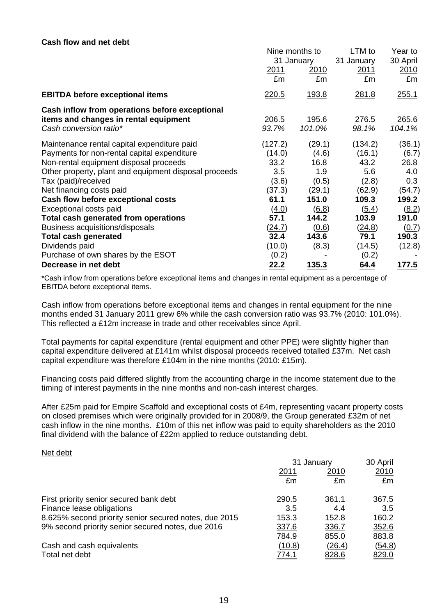#### **Cash flow and net debt**

|                                                       | Nine months to<br>31 January |               | LTM to     | Year to       |
|-------------------------------------------------------|------------------------------|---------------|------------|---------------|
|                                                       |                              |               | 31 January | 30 April      |
|                                                       | 2011                         | 2010          | 2011       | 2010          |
|                                                       | £m                           | £m            | £m         | £m            |
| <b>EBITDA before exceptional items</b>                | <u>220.5</u>                 | 193.8         | 281.8      | <u>255.1</u>  |
| Cash inflow from operations before exceptional        |                              |               |            |               |
| items and changes in rental equipment                 | 206.5                        | 195.6         | 276.5      | 265.6         |
| Cash conversion ratio*                                | 93.7%                        | 101.0%        | 98.1%      | 104.1%        |
| Maintenance rental capital expenditure paid           | (127.2)                      | (29.1)        | (134.2)    | (36.1)        |
| Payments for non-rental capital expenditure           | (14.0)                       | (4.6)         | (16.1)     | (6.7)         |
| Non-rental equipment disposal proceeds                | 33.2                         | 16.8          | 43.2       | 26.8          |
| Other property, plant and equipment disposal proceeds | 3.5                          | 1.9           | 5.6        | 4.0           |
| Tax (paid)/received                                   | (3.6)                        | (0.5)         | (2.8)      | 0.3           |
| Net financing costs paid                              | (37.3)                       | (29.1)        | (62.9)     | <u>(54.7)</u> |
| Cash flow before exceptional costs                    | 61.1                         | 151.0         | 109.3      | 199.2         |
| Exceptional costs paid                                | (4.0)                        | (6.8)         | (5.4)      | (8.2)         |
| Total cash generated from operations                  | 57.1                         | 144.2         | 103.9      | 191.0         |
| Business acquisitions/disposals                       | (24.7)                       | (0.6)         | (24.8)     | (0.7)         |
| <b>Total cash generated</b>                           | 32.4                         | 143.6         | 79.1       | 190.3         |
| Dividends paid                                        | (10.0)                       | (8.3)         | (14.5)     | (12.8)        |
| Purchase of own shares by the ESOT                    | (0.2)                        |               | (0.2)      |               |
| Decrease in net debt                                  | <u>22.2</u>                  | <u> 135.3</u> | 64.4       | <u> 177.5</u> |

\*Cash inflow from operations before exceptional items and changes in rental equipment as a percentage of EBITDA before exceptional items.

Cash inflow from operations before exceptional items and changes in rental equipment for the nine months ended 31 January 2011 grew 6% while the cash conversion ratio was 93.7% (2010: 101.0%). This reflected a £12m increase in trade and other receivables since April.

Total payments for capital expenditure (rental equipment and other PPE) were slightly higher than capital expenditure delivered at £141m whilst disposal proceeds received totalled £37m. Net cash capital expenditure was therefore £104m in the nine months (2010: £15m).

Financing costs paid differed slightly from the accounting charge in the income statement due to the timing of interest payments in the nine months and non-cash interest charges.

After £25m paid for Empire Scaffold and exceptional costs of £4m, representing vacant property costs on closed premises which were originally provided for in 2008/9, the Group generated £32m of net cash inflow in the nine months. £10m of this net inflow was paid to equity shareholders as the 2010 final dividend with the balance of £22m applied to reduce outstanding debt.

#### Net debt

|                                                       | 31 January   |        | 30 April      |
|-------------------------------------------------------|--------------|--------|---------------|
|                                                       | 2011<br>2010 |        | <u>2010</u>   |
|                                                       | £m           | £m     | £m            |
| First priority senior secured bank debt               | 290.5        | 361.1  | 367.5         |
| Finance lease obligations                             | 3.5          | 4.4    | 3.5           |
| 8.625% second priority senior secured notes, due 2015 | 153.3        | 152.8  | 160.2         |
| 9% second priority senior secured notes, due 2016     | 337.6        | 336.7  | 352.6         |
|                                                       | 784.9        | 855.0  | 883.8         |
| Cash and cash equivalents                             | (10.8)       | (26.4) | <u>(54.8)</u> |
| Total net debt                                        | <u>774.1</u> | 828.6  | 829.0         |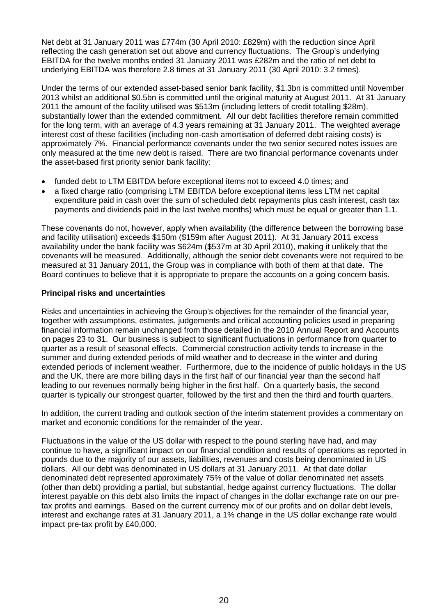Net debt at 31 January 2011 was £774m (30 April 2010: £829m) with the reduction since April reflecting the cash generation set out above and currency fluctuations. The Group's underlying EBITDA for the twelve months ended 31 January 2011 was £282m and the ratio of net debt to underlying EBITDA was therefore 2.8 times at 31 January 2011 (30 April 2010: 3.2 times).

Under the terms of our extended asset-based senior bank facility, \$1.3bn is committed until November 2013 whilst an additional \$0.5bn is committed until the original maturity at August 2011. At 31 January 2011 the amount of the facility utilised was \$513m (including letters of credit totalling \$28m), substantially lower than the extended commitment. All our debt facilities therefore remain committed for the long term, with an average of 4.3 years remaining at 31 January 2011. The weighted average interest cost of these facilities (including non-cash amortisation of deferred debt raising costs) is approximately 7%. Financial performance covenants under the two senior secured notes issues are only measured at the time new debt is raised. There are two financial performance covenants under the asset-based first priority senior bank facility:

- funded debt to LTM EBITDA before exceptional items not to exceed 4.0 times; and
- a fixed charge ratio (comprising LTM EBITDA before exceptional items less LTM net capital expenditure paid in cash over the sum of scheduled debt repayments plus cash interest, cash tax payments and dividends paid in the last twelve months) which must be equal or greater than 1.1.

These covenants do not, however, apply when availability (the difference between the borrowing base and facility utilisation) exceeds \$150m (\$159m after August 2011). At 31 January 2011 excess availability under the bank facility was \$624m (\$537m at 30 April 2010), making it unlikely that the covenants will be measured. Additionally, although the senior debt covenants were not required to be measured at 31 January 2011, the Group was in compliance with both of them at that date. The Board continues to believe that it is appropriate to prepare the accounts on a going concern basis.

# **Principal risks and uncertainties**

Risks and uncertainties in achieving the Group's objectives for the remainder of the financial year, together with assumptions, estimates, judgements and critical accounting policies used in preparing financial information remain unchanged from those detailed in the 2010 Annual Report and Accounts on pages 23 to 31. Our business is subject to significant fluctuations in performance from quarter to quarter as a result of seasonal effects. Commercial construction activity tends to increase in the summer and during extended periods of mild weather and to decrease in the winter and during extended periods of inclement weather. Furthermore, due to the incidence of public holidays in the US and the UK, there are more billing days in the first half of our financial year than the second half leading to our revenues normally being higher in the first half. On a quarterly basis, the second quarter is typically our strongest quarter, followed by the first and then the third and fourth quarters.

In addition, the current trading and outlook section of the interim statement provides a commentary on market and economic conditions for the remainder of the year.

Fluctuations in the value of the US dollar with respect to the pound sterling have had, and may continue to have, a significant impact on our financial condition and results of operations as reported in pounds due to the majority of our assets, liabilities, revenues and costs being denominated in US dollars. All our debt was denominated in US dollars at 31 January 2011. At that date dollar denominated debt represented approximately 75% of the value of dollar denominated net assets (other than debt) providing a partial, but substantial, hedge against currency fluctuations. The dollar interest payable on this debt also limits the impact of changes in the dollar exchange rate on our pretax profits and earnings. Based on the current currency mix of our profits and on dollar debt levels, interest and exchange rates at 31 January 2011, a 1% change in the US dollar exchange rate would impact pre-tax profit by £40,000.